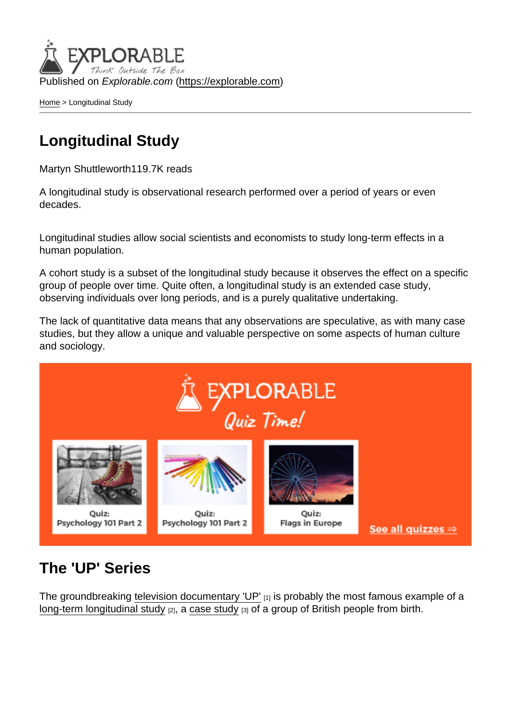Published on Explorable.com (<https://explorable.com>)

[Home](https://explorable.com/) > Longitudinal Study

## Longitudinal Study

Martyn Shuttleworth119.7K reads

A longitudinal study is observational research performed over a period of years or even decades.

Longitudinal studies allow social scientists and economists to study long-term effects in a human population.

A cohort study is a subset of the longitudinal study because it observes the effect on a specific group of people over time. Quite often, a longitudinal study is an extended case study, observing individuals over long periods, and is a purely qualitative undertaking.

The lack of quantitative data means that any observations are speculative, as with many case studies, but they allow a unique and valuable perspective on some aspects of human culture and sociology.

## The 'UP' Series

The groundbreaking [television documentary 'UP'](http://en.wikipedia.org/wiki/Seven_Up!) [1] is probably the most famous example of a [long-term longitudinal study](http://en.wikipedia.org/wiki/Longitudinal_study)  $[2]$ , a [case study](https://explorable.com/case-study-research-design)  $[3]$  of a group of British people from birth.